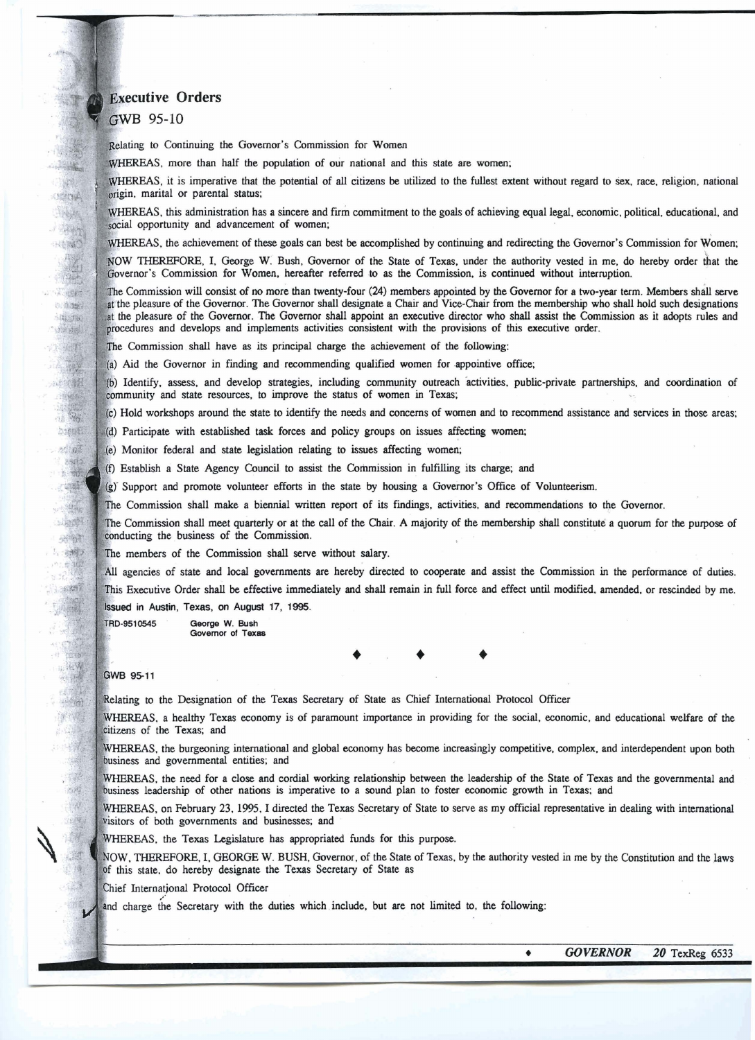## **Executive Orders**

## GWB 95-10

**TANK! CERCIA** 

小味调味 HERO

**Control** 

o hask

 $-10.50$ 

hings! 小麻醉

**DE TAB** 

> 2. 安全 力速日野

 $\sim 0^2$  $-30.5$ 1. 福南 75 Subscribe

对特性 1. 新設 一定體 **ROOM** 

für b dł 一出版

家藏

 $2.1142$ 

平義

课 

1. 10

Relating to Continuing the Governor's Commission for Women

WHEREAS, more than half the population of our national and this state are women;

S, it is imperative that the potential of all citizens **be** utilized to the fullest extent without regard to **sex,** race. religion. national **n.** marital or parental status;

WHEREAS, this administration has a sincere and firm commitment to the goals of achieving equal legal, economic, political, educational, and social opportunity and advancement of women;

WHEREAS, the achievement of these goals can best be accomplished by continuing and redirecting the Governor's Commission for Women;

NOW THEREFORE, I, George W. Bush, Governor of the State of Texas, under the authority vested in me, do hereby order that the Governor's Commission for Women, hereafter referred to as the Commission, is continued without interruption.

The Commission will consist of no more than twenty-four (24) members appointed by the Governor for a two-year term. Members shall serve at the pleasure of the Governor. The Governor shall designate a Chair and Vice-Chair from the membership who shall hold such designations at the pleasure of the Governor. The Governor shall appoint an executive director who shall assist the Commission as it adopts rules and procedures and develops and implements activities consistent with the provisions of this executive order.

The Commission shall have as its principal charge the achievement of the following:

(a) Aid the Governor in finding and recommending qualified women for appointive office;

(b) Identify, assess, and develop strategies, including community outreach activities, public-private partnerships, and coordination of community and state resources, to improve the status of women in Texas;

(c) Hold workshops around the state to identify the needs and concerns of women and to recommend assistance and services in those areas;

(d) Participate with established task forces and policy groups on issues affecting women;

(e) Monitor federal and state legislation relating to issues affecting women;

Establish a State **Agency** Council to assist the Corfimission in fulfilling its charge; and

(g) Support and promote volunteer efforts in the state by housing a Governor's Office of Volunteerism.

e Commission shall make a biennial written report of its fmdings, activities, **and** recommendations to the Governor.

The Commission shall meet quarterly or at the call of the Chair. A majority of the membership shall constitute a quorum for the purpose of conducting the business of the Commission.

The members of the Commission shall serve without salary.

All agencies of state and local governments are hereby directed to cooperate and assist the Commission in the performance of duties. This Executive Order shall be effective immediately and shall remain in full force and effect until modified, amended, or rescinded by me. **Issued in Austin, Texas, on August 17, 1995.** 

TRD-9510545 **Qeorge W. Bush**  Governor of Texas

 $+ +$ 

## GWB 95-11

Relating to the Designation of the Texas Secretary of State as Chief International Protocol Officer

WHEREAS, a healthy Texas economy is of paramount importance in providing for the social, economic, and educational welfare of the citizens of the Texas; and

WHEREAS, the burgeoning international and global economy has become increasingly competitive, complex, and interdependent upon both business and governmental entities; and

WHEREAS, the need for a close and cordial working relationship between the leadership of the State of Texas and the governmental and business leadership of other nations is imperative to a sound plan to foster economic growth in Texas; and

. on February 23. 1995. I directed the Texas Secretary **of** State to serve as my official representative in dealing with international visitors of both governments and businesses; and

WHEREAS, the Texas Legislature has appropriated funds for this purpose.

NOW, THEREFORE, I, GEORGE W. BUSH, Governor, of the State of Texas, by the authority vested in me by the Constitution and the laws of this state, do hereby designate the Texas Secretary of State as

Chief International Protocol Officer

and charge the Secretary with the duties which include, but are not limited to, the following:

٠